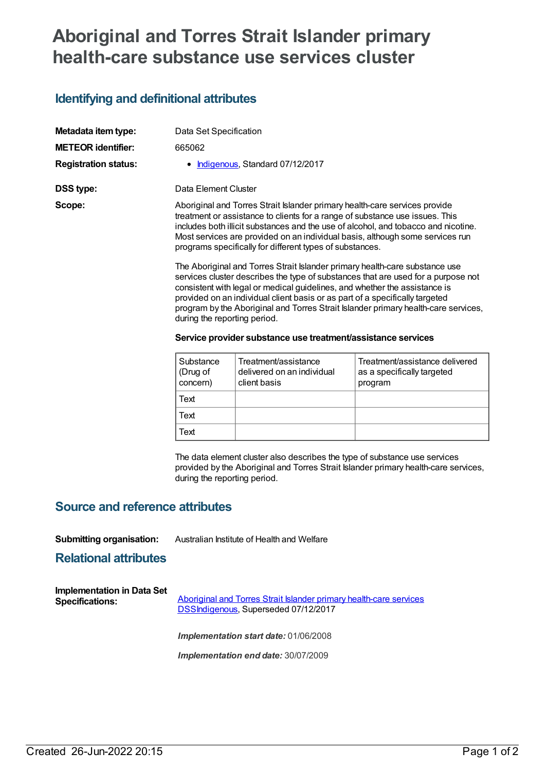# **Aboriginal and Torres Strait Islander primary health-care substance use services cluster**

## **Identifying and definitional attributes**

| Metadata item type:         |                      | Data Set Specification                                                                                                                                                                                                                                                                                                                                                                                                                                                                                                                                                                                                                                                                                                                                                                                                                                                                                                |                                |  |  |
|-----------------------------|----------------------|-----------------------------------------------------------------------------------------------------------------------------------------------------------------------------------------------------------------------------------------------------------------------------------------------------------------------------------------------------------------------------------------------------------------------------------------------------------------------------------------------------------------------------------------------------------------------------------------------------------------------------------------------------------------------------------------------------------------------------------------------------------------------------------------------------------------------------------------------------------------------------------------------------------------------|--------------------------------|--|--|
| <b>METEOR identifier:</b>   | 665062               |                                                                                                                                                                                                                                                                                                                                                                                                                                                                                                                                                                                                                                                                                                                                                                                                                                                                                                                       |                                |  |  |
| <b>Registration status:</b> | $\bullet$            | Indigenous, Standard 07/12/2017                                                                                                                                                                                                                                                                                                                                                                                                                                                                                                                                                                                                                                                                                                                                                                                                                                                                                       |                                |  |  |
| <b>DSS type:</b>            | Data Element Cluster |                                                                                                                                                                                                                                                                                                                                                                                                                                                                                                                                                                                                                                                                                                                                                                                                                                                                                                                       |                                |  |  |
| Scope:                      |                      | Aboriginal and Torres Strait Islander primary health-care services provide<br>treatment or assistance to clients for a range of substance use issues. This<br>includes both illicit substances and the use of alcohol, and tobacco and nicotine.<br>Most services are provided on an individual basis, although some services run<br>programs specifically for different types of substances.<br>The Aboriginal and Torres Strait Islander primary health-care substance use<br>services cluster describes the type of substances that are used for a purpose not<br>consistent with legal or medical guidelines, and whether the assistance is<br>provided on an individual client basis or as part of a specifically targeted<br>program by the Aboriginal and Torres Strait Islander primary health-care services,<br>during the reporting period.<br>Service provider substance use treatment/assistance services |                                |  |  |
|                             | Substance            | Troatmont/accictance                                                                                                                                                                                                                                                                                                                                                                                                                                                                                                                                                                                                                                                                                                                                                                                                                                                                                                  | Traatmant/accictanca dalivarad |  |  |

| Substance<br>(Drug of<br>concern) | Treatment/assistance<br>delivered on an individual<br>client basis | Treatment/assistance delivered<br>as a specifically targeted<br>program |
|-----------------------------------|--------------------------------------------------------------------|-------------------------------------------------------------------------|
| Text                              |                                                                    |                                                                         |
| Text                              |                                                                    |                                                                         |
| Text                              |                                                                    |                                                                         |

The data element cluster also describes the type of substance use services provided by the Aboriginal and Torres Strait Islander primary health-care services, during the reporting period.

### **Source and reference attributes**

#### **Submitting organisation:** Australian Institute of Health and Welfare

#### **Relational attributes**

| Implementation in Data Set | Aboriginal and Torres Strait Islander primary health-care services |  |
|----------------------------|--------------------------------------------------------------------|--|
| <b>Specifications:</b>     | DSSIndigenous, Superseded 07/12/2017                               |  |
|                            | <b>Implementation start date: 01/06/2008</b>                       |  |

*Implementation end date:* 30/07/2009

Created 26-Jun-2022 20:15 Page 1 of 2